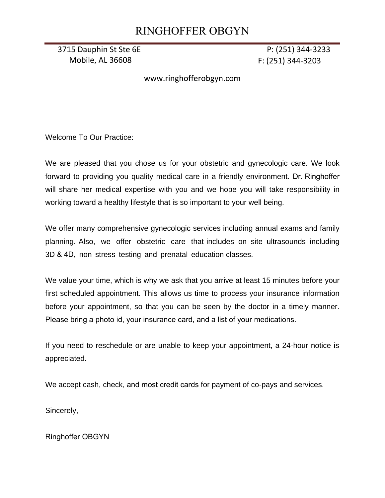# RINGHOFFER OBGYN

3715 Dauphin St Ste 6E P: (251) 344-3233 Mobile, AL 36608 F: (251) 344-3203

www.ringhofferobgyn.com

Welcome To Our Practice:

We are pleased that you chose us for your obstetric and gynecologic care. We look forward to providing you quality medical care in a friendly environment. Dr. Ringhoffer will share her medical expertise with you and we hope you will take responsibility in working toward a healthy lifestyle that is so important to your well being.

We offer many comprehensive gynecologic services including annual exams and family planning. Also, we offer obstetric care that includes on site ultrasounds including 3D & 4D, non stress testing and prenatal education classes.

We value your time, which is why we ask that you arrive at least 15 minutes before your first scheduled appointment. This allows us time to process your insurance information before your appointment, so that you can be seen by the doctor in a timely manner. Please bring a photo id, your insurance card, and a list of your medications.

If you need to reschedule or are unable to keep your appointment, a 24-hour notice is appreciated.

We accept cash, check, and most credit cards for payment of co-pays and services.

Sincerely,

Ringhoffer OBGYN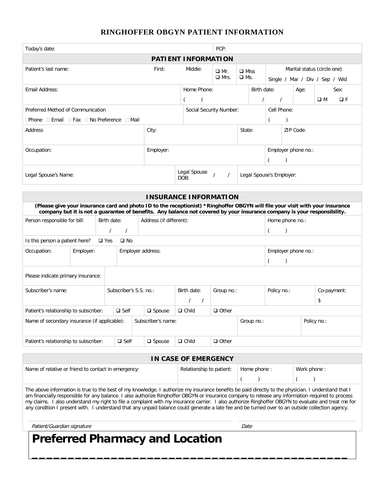# **RINGHOFFER OBGYN PATIENT INFORMATION**

| Today's date:                               |           |               |              |                                                                                                                                                                                                                                                           |                         | PCP:                                 |            |             |             |                                |                     |                         |  |
|---------------------------------------------|-----------|---------------|--------------|-----------------------------------------------------------------------------------------------------------------------------------------------------------------------------------------------------------------------------------------------------------|-------------------------|--------------------------------------|------------|-------------|-------------|--------------------------------|---------------------|-------------------------|--|
| <b>PATIENT INFORMATION</b>                  |           |               |              |                                                                                                                                                                                                                                                           |                         |                                      |            |             |             |                                |                     |                         |  |
| Patient's last name:                        |           |               |              | First:                                                                                                                                                                                                                                                    | Middle:                 | $\Box$ Miss<br>$\Box$ Mr.            |            |             |             | Marital status (circle one)    |                     |                         |  |
|                                             |           |               |              |                                                                                                                                                                                                                                                           |                         | $\Box$ Mrs.                          | $\Box$ Ms. |             |             | Single / Mar / Div / Sep / Wid |                     |                         |  |
| Email Address:                              |           |               |              |                                                                                                                                                                                                                                                           | Home Phone:             |                                      |            | Birth date: | Age:        |                                |                     | Sex:                    |  |
|                                             |           |               |              |                                                                                                                                                                                                                                                           |                         |                                      |            |             |             |                                |                     | $\Box F$<br>$\square$ M |  |
| Preferred Method of Communication           |           |               |              |                                                                                                                                                                                                                                                           | Social Security Number: |                                      |            |             | Cell Phone: |                                |                     |                         |  |
| □Phone □ Email □ Fax □ No Preference □ Mail |           |               |              |                                                                                                                                                                                                                                                           |                         |                                      |            |             |             |                                |                     |                         |  |
| Address                                     |           |               |              | City:                                                                                                                                                                                                                                                     |                         |                                      | State:     |             |             | ZIP Code:                      |                     |                         |  |
|                                             |           |               |              |                                                                                                                                                                                                                                                           |                         |                                      |            |             |             |                                |                     |                         |  |
| Occupation:                                 |           |               |              | Employer:                                                                                                                                                                                                                                                 |                         | Employer phone no.:                  |            |             |             |                                |                     |                         |  |
|                                             |           |               |              |                                                                                                                                                                                                                                                           |                         |                                      |            |             |             |                                |                     |                         |  |
| Legal Spouse's Name:                        |           |               |              |                                                                                                                                                                                                                                                           | Legal Spouse<br>DOB:    | $\prime$<br>Legal Spouse's Employer: |            |             |             |                                |                     |                         |  |
|                                             |           |               |              |                                                                                                                                                                                                                                                           |                         |                                      |            |             |             |                                |                     |                         |  |
|                                             |           |               |              | <b>INSURANCE INFORMATION</b>                                                                                                                                                                                                                              |                         |                                      |            |             |             |                                |                     |                         |  |
|                                             |           |               |              | (Please give your insurance card and photo ID to the receptionist) *Ringhoffer OBGYN will file your visit with your insurance<br>company but it is not a guarantee of benefits. Any balance not covered by your insurance company is your responsibility. |                         |                                      |            |             |             |                                |                     |                         |  |
| Person responsible for bill:                |           | Birth date:   |              | Address (if different):                                                                                                                                                                                                                                   |                         |                                      |            |             |             |                                | Home phone no.:     |                         |  |
|                                             |           | $\prime$      | $\prime$     |                                                                                                                                                                                                                                                           |                         |                                      |            |             |             |                                |                     |                         |  |
| Is this person a patient here?              |           | $\square$ Yes | $\square$ No |                                                                                                                                                                                                                                                           |                         |                                      |            |             |             |                                |                     |                         |  |
| Occupation:                                 | Employer: |               |              | Employer address:                                                                                                                                                                                                                                         |                         |                                      |            |             |             |                                | Employer phone no.: |                         |  |

| Please indicate primary insurance:                                 |  |             |               |              |              |  |             |             |             |
|--------------------------------------------------------------------|--|-------------|---------------|--------------|--------------|--|-------------|-------------|-------------|
| Subscriber's S.S. no.:<br>Subscriber's name:                       |  |             |               | Birth date:  | Group no.:   |  | Policy no.: |             | Co-payment: |
|                                                                    |  |             |               |              | \$           |  |             |             |             |
| Patient's relationship to subscriber:                              |  | $\Box$ Self | $\Box$ Spouse | $\Box$ Child | $\Box$ Other |  |             |             |             |
| Name of secondary insurance (if applicable):<br>Subscriber's name: |  |             |               |              | Group no.:   |  |             | Policy no.: |             |
| Patient's relationship to subscriber:                              |  | $\Box$ Self | $\Box$ Spouse | $\Box$ Child | $\Box$ Other |  |             |             |             |

## **IN CASE OF EMERGENCY**

| Name of relative or friend to contact in emergency:                                                                                                     | Relationship to patient:   Home phone : |  | Work phone: |  |  |  |  |
|---------------------------------------------------------------------------------------------------------------------------------------------------------|-----------------------------------------|--|-------------|--|--|--|--|
|                                                                                                                                                         |                                         |  |             |  |  |  |  |
| The share beforesting is torn to the heat of ancheological contractor anciences housefits he waid diseather to the sharehous incomposition to the third |                                         |  |             |  |  |  |  |

The above information is true to the best of my knowledge. I authorize my insurance benefits be paid directly to the physician. I understand that I am financially responsible for any balance. I also authorize Ringhoffer OBGYN or insurance company to release any information required to process my claims. I also understand my right to file a complaint with my insurance carrier. I also authorize Ringhoffer OBGYN to evaluate and treat me for any condition I present with. I understand that any unpaid balance could generate a late fee and be turned over to an outside collection agency.

**\_\_\_\_\_\_\_\_\_\_\_\_\_\_\_\_\_\_\_\_\_\_\_\_\_\_\_\_\_\_\_\_\_\_\_\_\_\_\_\_\_\_\_\_**

Patient/Guardian signature de control de la control de la control de la control de la control de la control de

# **Preferred Pharmacy and Location**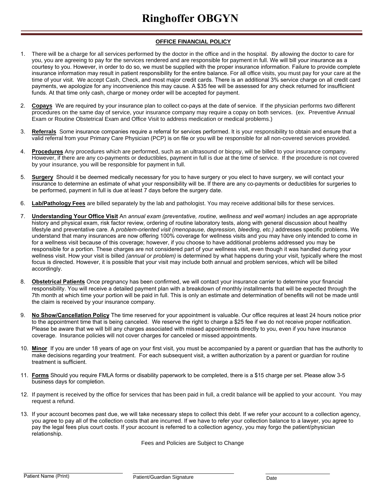## **OFFICE FINANCIAL POLICY**

- 1. There will be a charge for all services performed by the doctor in the office and in the hospital. By allowing the doctor to care for you, you are agreeing to pay for the services rendered and are responsible for payment in full. We will bill your insurance as a courtesy to you. However, in order to do so, we must be supplied with the proper insurance information. Failure to provide complete insurance information may result in patient responsibility for the entire balance. For all office visits, you must pay for your care at the time of your visit. We accept Cash, Check, and most major credit cards. There is an additional 3% service charge on all credit card payments, we apologize for any inconvenience this may cause. A \$35 fee will be assessed for any check returned for insufficient funds. At that time only cash, charge or money order will be accepted for payment.
- 2. **Copays** We are required by your insurance plan to collect co-pays at the date of service. If the physician performs two different procedures on the same day of service, your insurance company may require a copay on both services. (ex. Preventive Annual Exam or Routine Obstetrical Exam and Office Visit to address medication or medical problems.)
- 3. **Referrals** Some insurance companies require a referral for services performed. It is your responsibility to obtain and ensure that a valid referral from your Primary Care Physician (PCP) is on file or you will be responsible for all non-covered services provided.
- 4. **Procedures** Any procedures which are performed, such as an ultrasound or biopsy, will be billed to your insurance company. However, if there are any co-payments or deductibles, payment in full is due at the time of service. If the procedure is not covered by your insurance, you will be responsible for payment in full.
- 5. **Surgery** Should it be deemed medically necessary for you to have surgery or you elect to have surgery, we will contact your insurance to determine an estimate of what your responsibility will be. If there are any co-payments or deductibles for surgeries to be performed, payment in full is due at least 7 days before the surgery date.
- 6. **Lab/Pathology Fees** are billed separately by the lab and pathologist. You may receive additional bills for these services.
- 7. **Understanding Your Office Visit** An *annual exam (preventative, routine, wellness and well woman)* includes an age appropriate history and physical exam, risk factor review, ordering of routine laboratory tests, along with general discussion about healthy lifestyle and preventative care. A *problem-oriented visit (menopause, depression, bleeding, etc.)* addresses specific problems. We understand that many insurances are now offering 100% coverage for wellness visits and you may have only intended to come in for a wellness visit because of this coverage; however, if you choose to have additional problems addressed you may be responsible for a portion. These charges are not considered part of your wellness visit, even though it was handled during your wellness visit. How your visit is billed *(annual or problem)* is determined by what happens during your visit, typically where the most focus is directed. However, it is possible that your visit may include both annual and problem services, which will be billed accordingly.
- 8. **Obstetrical Patients** Once pregnancy has been confirmed, we will contact your insurance carrier to determine your financial responsibility. You will receive a detailed payment plan with a breakdown of monthly installments that will be expected through the 7th month at which time your portion will be paid in full. This is only an estimate and determination of benefits will not be made until the claim is received by your insurance company.
- 9. **No Show/Cancellation Policy** The time reserved for your appointment is valuable. Our office requires at least 24 hours notice prior to the appointment time that is being canceled. We reserve the right to charge a \$25 fee if we do not receive proper notification. Please be aware that we will bill any charges associated with missed appointments directly to you, even if you have insurance coverage. Insurance policies will not cover charges for canceled or missed appointments.
- 10. **Minor** If you are under 18 years of age on your first visit, you must be accompanied by a parent or guardian that has the authority to make decisions regarding your treatment. For each subsequent visit, a written authorization by a parent or guardian for routine treatment is sufficient.
- 11. **Forms** Should you require FMLA forms or disability paperwork to be completed, there is a \$15 charge per set. Please allow 3-5 business days for completion.
- 12. If payment is received by the office for services that has been paid in full, a credit balance will be applied to your account. You may request a refund.
- 13. If your account becomes past due, we will take necessary steps to collect this debt. If we refer your account to a collection agency, you agree to pay all of the collection costs that are incurred. If we have to refer your collection balance to a lawyer, you agree to pay the legal fees plus court costs. If your account is referred to a collection agency, you may forgo the patient/physician relationship.

Fees and Policies are Subject to Change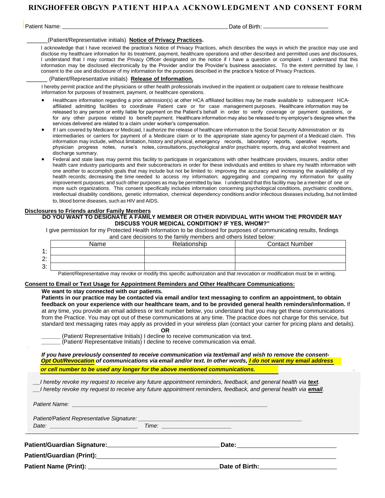# **RINGHOFFER OBGYN PATIENT HIPAA ACKNOWLEDGMENT AND CONSENT FORM**

Patient Name: Date of Birth:

\_\_\_\_\_\_(Patient/Representative initials) **Notice of Privacy Practices.**

I acknowledge that I have received the practice's Notice of Privacy Practices, which describes the ways in which the practice may use and disclose my healthcare information for its treatment, payment, healthcare operations and other described and permitted uses and disclosures, I understand that I may contact the Privacy Officer designated on the notice if I have a question or complaint. I understand that this information may be disclosed electronically by the Provider and/or the Provider's business associates. To the extent permitted by law, I consent to the use and disclosure of my information for the purposes described in the practice's Notice of Privacy Practices.

## \_\_\_\_\_\_ (Patient/Representative initials) **Release of Information.**

I hereby permit practice and the physicians or other health professionals involved in the inpatient or outpatient care to release healthcare information for purposes of treatment, payment, or healthcare operations.

- Healthcare information regarding a prior admission(s) at other HCA affiliated facilities may be made available to subsequent HCAaffiliated admitting facilities to coordinate Patient care or for case management purposes. Healthcare information may be released to any person or entity liable for payment on the Patient's behalf in order to verify coverage or payment questions, or for any other purpose related to benefit payment. Healthcare information may also be released to my employer's designee when the services delivered are related to a claim under worker's compensation.
- If I am covered by Medicare or Medicaid, I authorize the release of healthcare information to the Social Security Administration or its intermediaries or carriers for payment of a Medicare claim or to the appropriate state agency for payment of a Medicaid claim. This information may include, without limitation, history and physical, emergency records, laboratory reports, operative reports, physician progress notes, nurse's notes, consultations, psychological and/or psychiatric reports, drug and alcohol treatment and discharge summary.
- Federal and state laws may permit this facility to participate in organizations with other healthcare providers, insurers, and/or other health care industry participants and their subcontractors in order for these individuals and entities to share my health information with one another to accomplish goals that may include but not be limited to: improving the accuracy and increasing the availability of my health records; decreasing the time needed to access my information; aggregating and comparing my information for quality improvement purposes; and such other purposes as may be permitted by law. I understand that this facility may be a member of one or more such organizations. This consent specifically includes information concerning psychological conditions, psychiatric conditions, intellectual disability conditions, genetic information, chemical dependency conditions and/or infectious diseases including, but not limited to, blood borne diseases, such as HIV and AIDS.

## **Disclosures to Friends and/or Family Members**

## **DO YOU WANT TO DESIGNATE A FAMILY MEMBER OR OTHER INDIVIDUAL WITH WHOM THE PROVIDER MAY DISCUSS YOUR MEDICAL CONDITION? IF YES, WHOM?"**

I give permission for my Protected Health Information to be disclosed for purposes of communicating results, findings and care decisions to the family members and others listed below:

|                             | Name | Relationship | <b>Contact Number</b> |
|-----------------------------|------|--------------|-----------------------|
| $\ddot{\phantom{1}}$<br>. . |      |              |                       |
| 2:                          |      |              |                       |
| 3:                          |      |              |                       |

Patient/Representative may revoke or modify this specific authorization and that revocation or modification must be in writing.

## **Consent to Email or Text Usage for Appointment Reminders and Other Healthcare Communications:**

## **We want to stay connected with our patients.**

**Patients in our practice may be contacted via email and/or text messaging to confirm an appointment, to obtain feedback on your experience with our healthcare team, and to be provided general health reminders/information.** If at any time, you provide an email address or text number below, you understand that you may get these communications from the Practice. You may opt out of these communications at any time. The practice does not charge for this service, but standard text messaging rates may apply as provided in your wireless plan (contact your carrier for pricing plans and details). **OR** 

**\_\_\_\_\_\_** (Patient/ Representative Initials) I decline to receive communication via text. **\_\_\_\_\_\_** (Patient/ Representative Initials) I decline to receive communication via email.

*If you have previously consented to receive communication via text/email and wish to remove the consent-Opt Out/Revocation of communications via email and/or text. In other words, I do not want my email address* 

*or cell number to be used any longer for the above mentioned communications.* 

*I* hereby revoke my request to receive any future appointment reminders, feedback, and general health via **text**. *\_\_I hereby revoke my request to receive any future appointment reminders, feedback, and general health via email.* 

*Patient Name: \_\_\_\_\_\_\_\_\_\_\_\_\_\_\_\_\_\_\_\_\_\_\_\_\_\_\_\_\_\_\_\_\_\_\_\_\_\_\_\_\_\_\_\_\_\_\_\_\_\_\_\_\_\_\_\_* 

*Patient/Patient Representative Signature: \_\_\_\_\_\_\_\_\_\_\_\_\_\_\_\_\_\_\_\_\_\_\_\_\_\_\_\_\_\_\_\_\_\_\_\_\_\_\_\_\_\_\_\_\_\_\_ Date: \_\_\_\_\_\_\_\_\_\_\_\_\_\_\_\_\_\_\_\_\_\_\_\_\_\_\_\_ Time: \_\_\_\_\_\_\_\_\_\_\_\_\_\_\_\_\_\_\_\_*

**Patient/Guardian Signature: Date:** 

**Patient/Guardian (Print):**

**Patient Name (Print): Date of Birth:**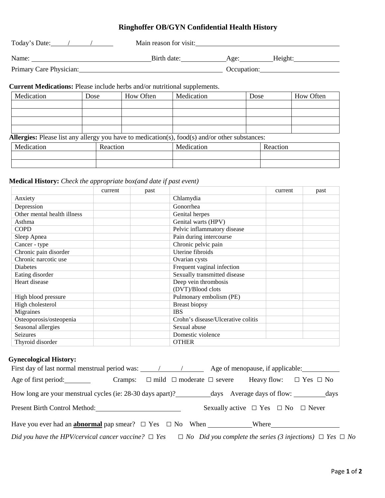# **Ringhoffer OB/GYN Confidential Health History**

| Today's Date:           | Main reason for visit: |             |         |  |
|-------------------------|------------------------|-------------|---------|--|
| Name:                   | Birth date:            | Age:        | Height: |  |
| Primary Care Physician: |                        | Occupation: |         |  |

# **Current Medications:** Please include herbs and/or nutritional supplements.

| Medication | Dose     | How Often | Medication                                                                                            | Dose |          | How Often |  |
|------------|----------|-----------|-------------------------------------------------------------------------------------------------------|------|----------|-----------|--|
|            |          |           |                                                                                                       |      |          |           |  |
|            |          |           |                                                                                                       |      |          |           |  |
|            |          |           |                                                                                                       |      |          |           |  |
|            |          |           |                                                                                                       |      |          |           |  |
|            |          |           | <b>Allergies:</b> Please list any allergy you have to medication(s), food(s) and/or other substances: |      |          |           |  |
| Medication | Reaction |           | Medication                                                                                            |      | Reaction |           |  |
|            |          |           |                                                                                                       |      |          |           |  |

## **Medical History:** *Check the appropriate box(and date if past event)*

|                             | current | past |                                    | current | past |
|-----------------------------|---------|------|------------------------------------|---------|------|
| Anxiety                     |         |      | Chlamydia                          |         |      |
| Depression                  |         |      | Gonorrhea                          |         |      |
| Other mental health illness |         |      | Genital herpes                     |         |      |
| Asthma                      |         |      | Genital warts (HPV)                |         |      |
| <b>COPD</b>                 |         |      | Pelvic inflammatory disease        |         |      |
| Sleep Apnea                 |         |      | Pain during intercourse            |         |      |
| Cancer - type               |         |      | Chronic pelvic pain                |         |      |
| Chronic pain disorder       |         |      | Uterine fibroids                   |         |      |
| Chronic narcotic use        |         |      | Ovarian cysts                      |         |      |
| <b>Diabetes</b>             |         |      | Frequent vaginal infection         |         |      |
| Eating disorder             |         |      | Sexually transmitted disease       |         |      |
| Heart disease               |         |      | Deep vein thrombosis               |         |      |
|                             |         |      | (DVT)/Blood clots                  |         |      |
| High blood pressure         |         |      | Pulmonary embolism (PE)            |         |      |
| High cholesterol            |         |      | Breast biopsy                      |         |      |
| Migraines                   |         |      | <b>IBS</b>                         |         |      |
| Osteoporosis/osteopenia     |         |      | Crohn's disease/Ulcerative colitis |         |      |
| Seasonal allergies          |         |      | Sexual abuse                       |         |      |
| Seizures                    |         |      | Domestic violence                  |         |      |
| Thyroid disorder            |         |      | <b>OTHER</b>                       |         |      |

## **Gynecological History:**

| Age of first period:                                                                                                               |  |  | Cramps: $\Box$ mild $\Box$ moderate $\Box$ severe Heavy flow: $\Box$ Yes $\Box$ No |  |
|------------------------------------------------------------------------------------------------------------------------------------|--|--|------------------------------------------------------------------------------------|--|
|                                                                                                                                    |  |  |                                                                                    |  |
| <b>Present Birth Control Method:</b>                                                                                               |  |  | Sexually active $\Box$ Yes $\Box$ No $\Box$ Never                                  |  |
|                                                                                                                                    |  |  |                                                                                    |  |
| Did you have the HPV/cervical cancer vaccine? $\Box$ Yes $\Box$ No Did you complete the series (3 injections) $\Box$ Yes $\Box$ No |  |  |                                                                                    |  |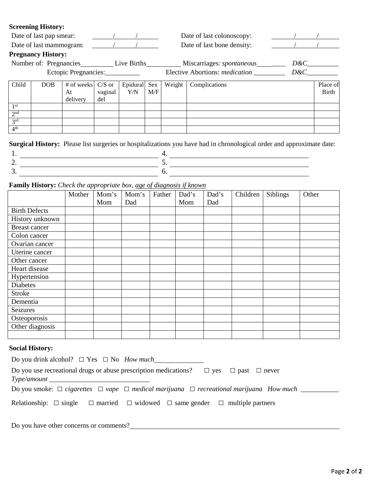## **Screening History:**

|                        | Date of last pap smear:                   |                              |                            | Date of last colonoscopy: |                            |        |                                       |            |                          |
|------------------------|-------------------------------------------|------------------------------|----------------------------|---------------------------|----------------------------|--------|---------------------------------------|------------|--------------------------|
|                        | Date of last mammogram:<br>$\overline{1}$ |                              |                            |                           | Date of last bone density: |        |                                       |            |                          |
|                        | <b>Pregnancy History:</b>                 |                              |                            |                           |                            |        |                                       |            |                          |
| Number of: Pregnancies |                                           |                              | Live Births                |                           |                            |        | Miscarriages: spontaneous             | $D\&C_{-}$ |                          |
|                        |                                           | Ectopic Pregnancies:         |                            |                           |                            |        | Elective Abortions: <i>medication</i> | $D\&C$     |                          |
| Child                  | DOB                                       | # of weeks<br>At<br>delivery | $C/S$ or<br>vaginal<br>del | Epidural<br>Y/N           | Sex<br>M/F                 | Weight | Complications                         |            | Place of<br><b>Birth</b> |
| 1 <sup>st</sup>        |                                           |                              |                            |                           |                            |        |                                       |            |                          |
| 2 <sup>nd</sup>        |                                           |                              |                            |                           |                            |        |                                       |            |                          |
| 2rd                    |                                           |                              |                            |                           |                            |        |                                       |            |                          |
| 4 <sup>th</sup>        |                                           |                              |                            |                           |                            |        |                                       |            |                          |

**Surgical History:** Please list surgeries or hospitalizations you have had in chronological order and approximate date:

**Family History:** *Check the appropriate box, age of diagnosis if known*

|                      | Mother | Mom's | Mom's | Father | Dad's | Dad's | Children | Siblings | Other |
|----------------------|--------|-------|-------|--------|-------|-------|----------|----------|-------|
|                      |        | Mom   | Dad   |        | Mom   | Dad   |          |          |       |
| <b>Birth Defects</b> |        |       |       |        |       |       |          |          |       |
| History unknown      |        |       |       |        |       |       |          |          |       |
| Breast cancer        |        |       |       |        |       |       |          |          |       |
| Colon cancer         |        |       |       |        |       |       |          |          |       |
| Ovarian cancer       |        |       |       |        |       |       |          |          |       |
| Uterine cancer       |        |       |       |        |       |       |          |          |       |
| Other cancer         |        |       |       |        |       |       |          |          |       |
| Heart disease        |        |       |       |        |       |       |          |          |       |
| Hypertension         |        |       |       |        |       |       |          |          |       |
| Diabetes             |        |       |       |        |       |       |          |          |       |
| <b>Stroke</b>        |        |       |       |        |       |       |          |          |       |
| Dementia             |        |       |       |        |       |       |          |          |       |
| Seizures             |        |       |       |        |       |       |          |          |       |
| Osteoporosis         |        |       |       |        |       |       |          |          |       |
| Other diagnosis      |        |       |       |        |       |       |          |          |       |
|                      |        |       |       |        |       |       |          |          |       |

## **Social History:**

| Do you drink alcohol? $\Box$ Yes $\Box$ No <i>How much</i>                                                           |  |  |  |  |  |  |  |
|----------------------------------------------------------------------------------------------------------------------|--|--|--|--|--|--|--|
| Do you use recreational drugs or abuse prescription medications? $\Box$ yes $\Box$ past $\Box$ never                 |  |  |  |  |  |  |  |
| Type/amount                                                                                                          |  |  |  |  |  |  |  |
| Do you smoke: $\Box$ cigarettes $\Box$ vape $\Box$ medical marijuana $\Box$ recreational marijuana How much ________ |  |  |  |  |  |  |  |
| Relationship: $\Box$ single $\Box$ married $\Box$ widowed $\Box$ same gender $\Box$ multiple partners                |  |  |  |  |  |  |  |

Do you have other concerns or comments?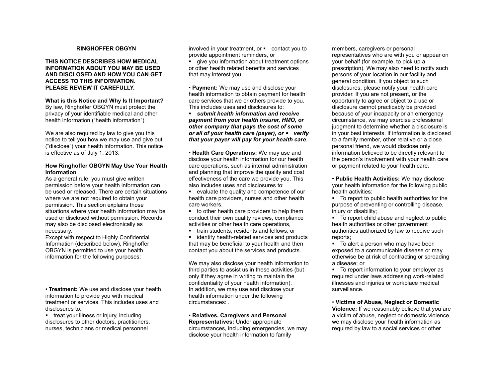## **RINGHOFFER OBGYN**

## **THIS NOTICE DESCRIBES HOW MEDICAL INFORMATION ABOUT YOU MAY BE USED AND DISCLOSED AND HOW YOU CAN GET ACCESS TO THIS INFORMATION. PLEASE REVIEW IT CAREFULLY.**

## **What is this Notice and Why Is It Important?**

By law, Ringhoffer OBGYN must protect the privacy of your identifiable medical and other health information ("health information").

We are also required by law to give you this notice to tell you how we may use and give out ("disclose") your health information. This notice is effective as of July 1, 2013.

## **How Ringhoffer OBGYN May Use Your Health Information**

As a general rule, you must give written permission before your health information can be used or released. There are certain situations where we are not required to obtain your permission. This section explains those situations where your health information may be used or disclosed without permission. Records may also be disclosed electronically as necessary.

Except with respect to Highly Confidential Information (described below), Ringhoffer OBGYN is permitted to use your health information for the following purposes:

• **Treatment:** We use and disclose your health information to provide you with medical treatment or services. This includes uses and disclosures to:

**treat your illness or injury, including** disclosures to other doctors, practitioners, nurses, technicians or medical personnel

involved in your treatment, or  $\blacksquare$  contact you to provide appointment reminders, or

**give you information about treatment options** or other health related benefits and services that may interest you.

• **Payment:** We may use and disclose your health information to obtain payment for health care services that we or others provide to you. This includes uses and disclosures to:

*submit health information and receive payment from your health insurer, HMO, or other company that pays the cost of some or all of your health care (payer), or verify that your payer will pay for your health care*.

• **Health Care Operations:** We may use and disclose your health information for our health care operations, such as internal administration and planning that improve the quality and cost effectiveness of the care we provide you. This also includes uses and disclosures to:

evaluate the quality and competence of our health care providers, nurses and other health care workers,

to other health care providers to help them conduct their own quality reviews, compliance activities or other health care operations,

**train students, residents and fellows, or** 

**identify health-related services and products** that may be beneficial to your health and then contact you about the services and products.

We may also disclose your health information to third parties to assist us in these activities (but only if they agree in writing to maintain the confidentiality of your health information). In addition, we may use and disclose your health information under the following circumstances: .

#### • **Relatives, Caregivers and Personal Representatives:** Under appropriate

circumstances, including emergencies, we may disclose your health information to family

members, caregivers or personal representatives who are with you or appear on your behalf (for example, to pick up a prescription). We may also need to notify such persons of your location in our facility and general condition. If you object to such disclosures, please notify your health care provider. If you are not present, or the opportunity to agree or object to a use or disclosure cannot practicably be provided because of your incapacity or an emergency circumstance, we may exercise professional judgment to determine whether a disclosure is in your best interests. If information is disclosed to a family member, other relative or a close personal friend, we would disclose only information believed to be directly relevant to the person's involvement with your health care or payment related to your health care.

• **Public Health Activities:** We may disclose your health information for the following public health activities:

To report to public health authorities for the purpose of preventing or controlling disease, iniury or disability:

■ To report child abuse and neglect to public health authorities or other government authorities authorized by law to receive such reports;

• To alert a person who may have been exposed to a communicable disease or may otherwise be at risk of contracting or spreading a disease; or

• To report information to your employer as required under laws addressing work-related illnesses and injuries or workplace medical surveillance.

• **Victims of Abuse, Neglect or Domestic Violence:** If we reasonably believe that you are a victim of abuse, neglect or domestic violence, we may disclose your health information as required by law to a social services or other